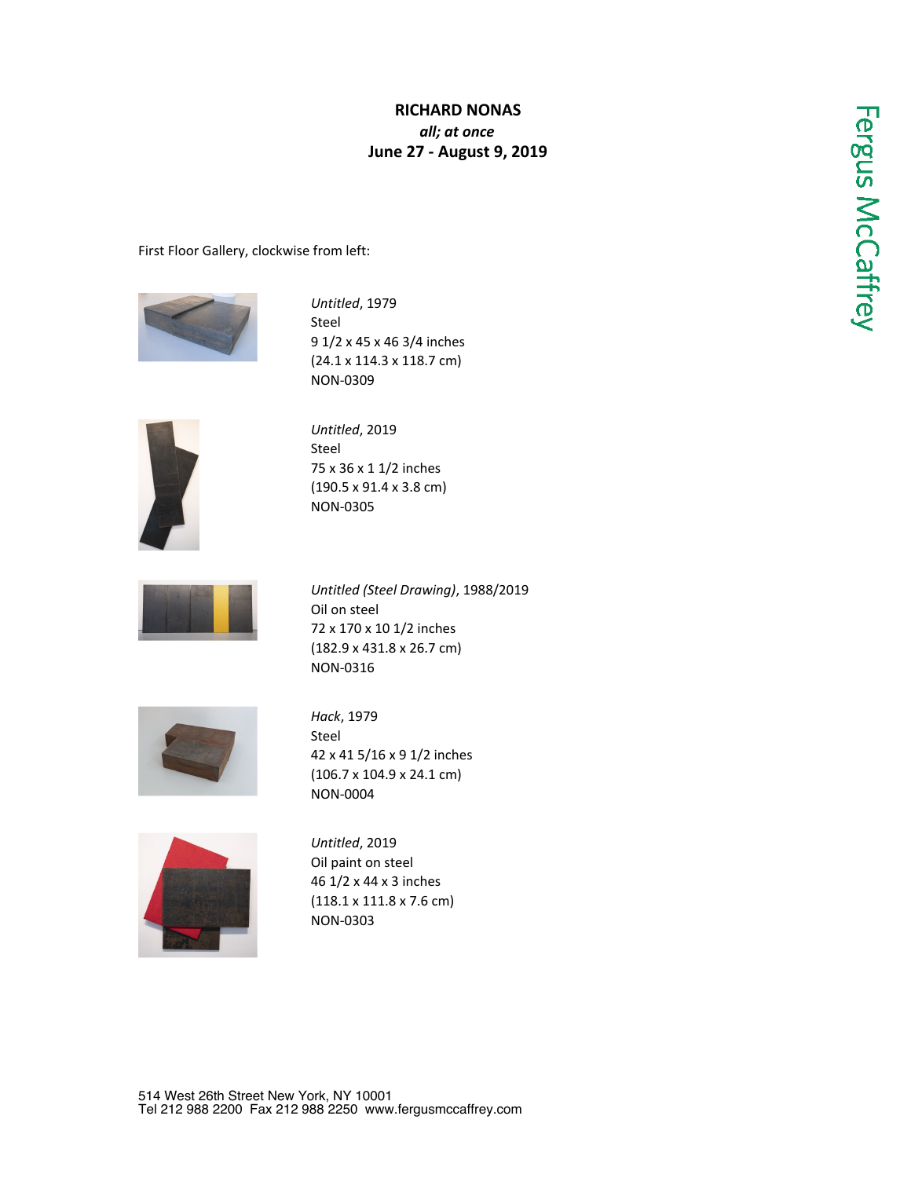## **RICHARD NONAS** *all; at once* **June 27 - August 9, 2019**

First Floor Gallery, clockwise from left:



*Untitled*, 1979 Steel 9 1/2 x 45 x 46 3/4 inches (24.1 x 114.3 x 118.7 cm) NON-0309



*Untitled*, 2019 Steel 75 x 36 x 1 1/2 inches (190.5 x 91.4 x 3.8 cm) NON-0305



*Untitled (Steel Drawing)*, 1988/2019 Oil on steel 72 x 170 x 10 1/2 inches (182.9 x 431.8 x 26.7 cm) NON-0316



*Hack*, 1979 Steel 42 x 41 5/16 x 9 1/2 inches (106.7 x 104.9 x 24.1 cm) NON-0004



*Untitled*, 2019 Oil paint on steel 46 1/2 x 44 x 3 inches (118.1 x 111.8 x 7.6 cm) NON-0303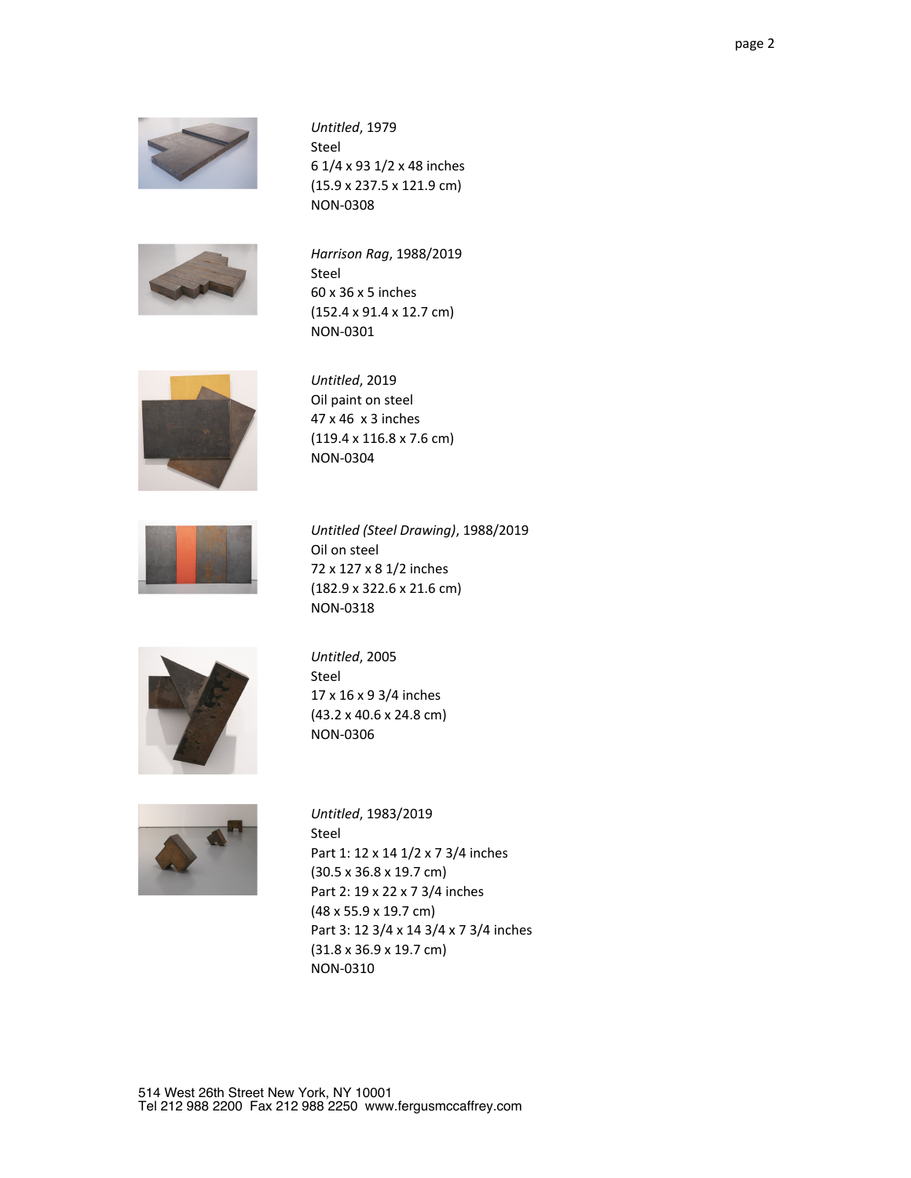

*Untitled*, 1979 Steel 6 1/4 x 93 1/2 x 48 inches (15.9 x 237.5 x 121.9 cm) NON-0308



*Harrison Rag*, 1988/2019 Steel 60 x 36 x 5 inches (152.4 x 91.4 x 12.7 cm) NON-0301



*Untitled*, 2019 Oil paint on steel 47 x 46 x 3 inches (119.4 x 116.8 x 7.6 cm) NON-0304



*Untitled (Steel Drawing)*, 1988/2019 Oil on steel 72 x 127 x 8 1/2 inches (182.9 x 322.6 x 21.6 cm) NON-0318



*Untitled*, 2005 Steel 17 x 16 x 9 3/4 inches (43.2 x 40.6 x 24.8 cm) NON-0306



*Untitled*, 1983/2019 Steel Part 1: 12 x 14 1/2 x 7 3/4 inches (30.5 x 36.8 x 19.7 cm) Part 2: 19 x 22 x 7 3/4 inches (48 x 55.9 x 19.7 cm) Part 3: 12 3/4 x 14 3/4 x 7 3/4 inches (31.8 x 36.9 x 19.7 cm) NON-0310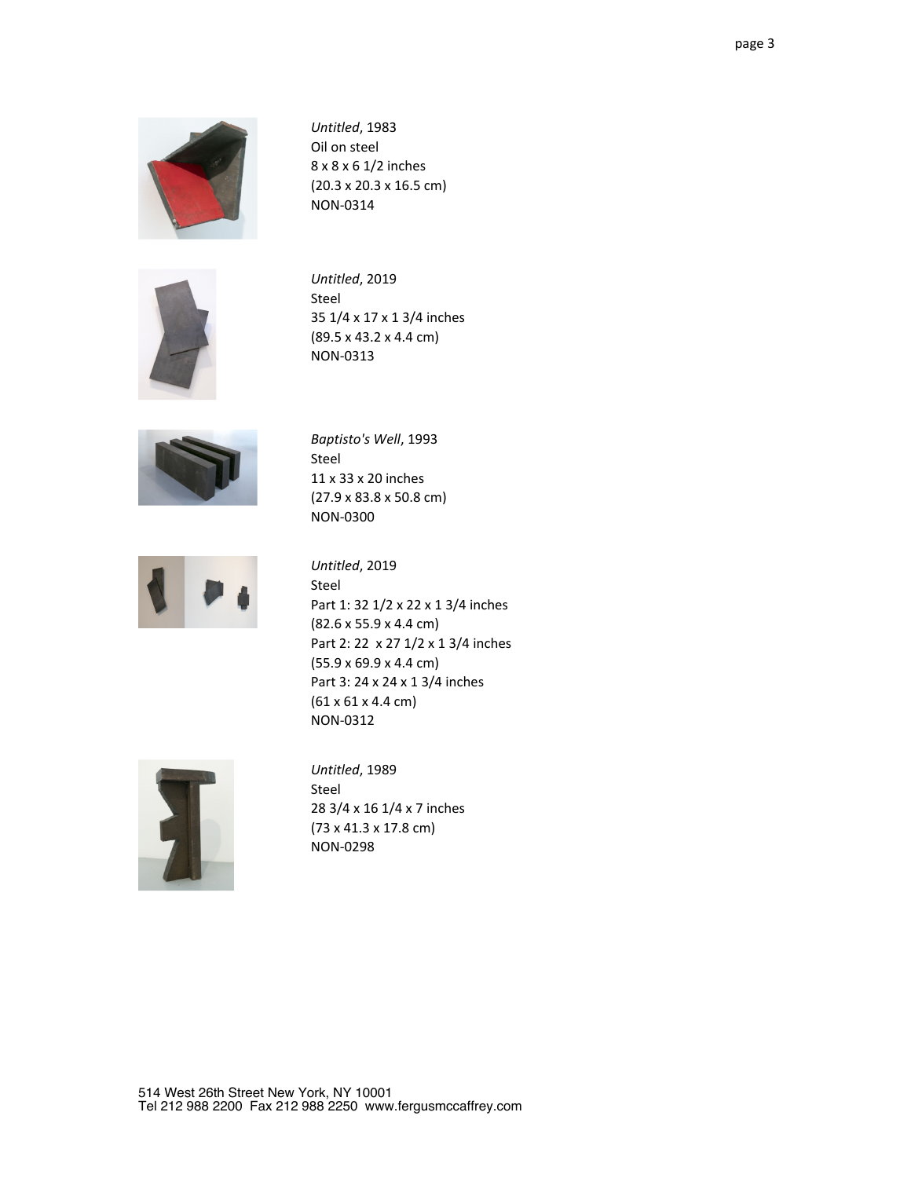

*Untitled*, 1983 Oil on steel 8 x 8 x 6 1/2 inches (20.3 x 20.3 x 16.5 cm) NON-0314



*Untitled*, 2019 Steel 35 1/4 x 17 x 1 3/4 inches (89.5 x 43.2 x 4.4 cm) NON-0313



*Baptisto's Well*, 1993 Steel 11 x 33 x 20 inches (27.9 x 83.8 x 50.8 cm) NON-0300



*Untitled*, 2019 Steel Part 1: 32 1/2 x 22 x 1 3/4 inches (82.6 x 55.9 x 4.4 cm) Part 2: 22 x 27 1/2 x 1 3/4 inches (55.9 x 69.9 x 4.4 cm) Part 3: 24 x 24 x 1 3/4 inches (61 x 61 x 4.4 cm) NON-0312



*Untitled*, 1989 Steel 28 3/4 x 16 1/4 x 7 inches (73 x 41.3 x 17.8 cm) NON-0298